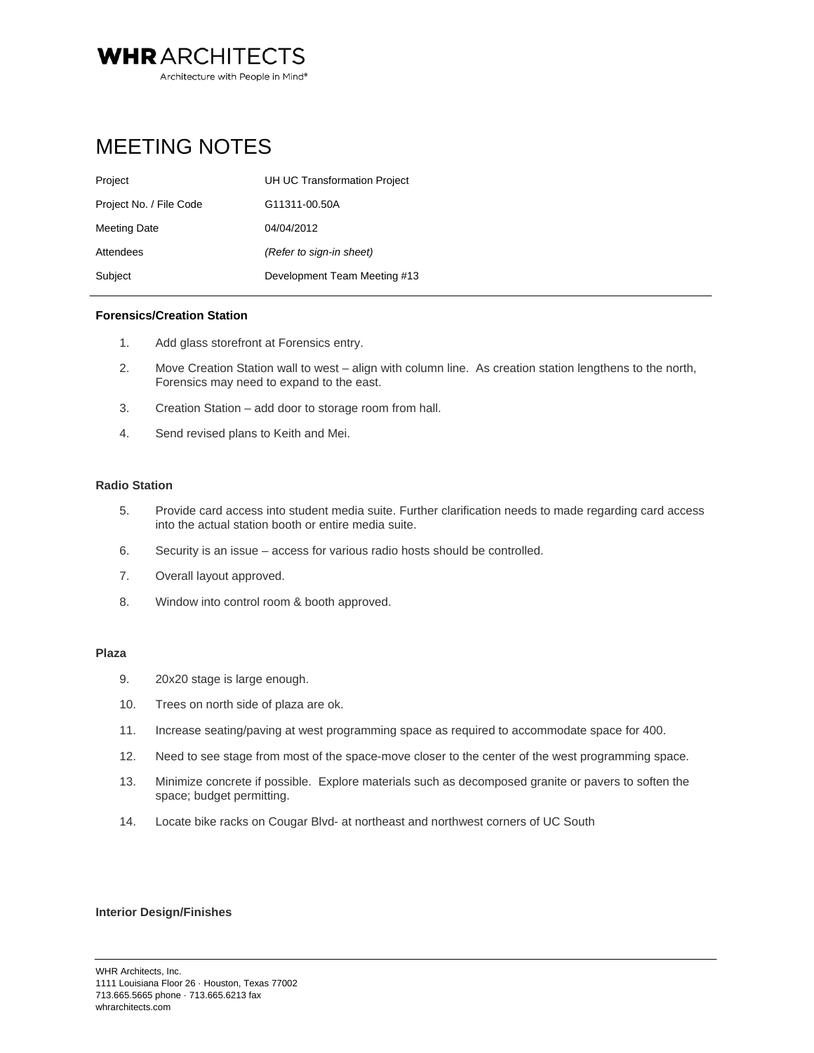Architecture with People in Mind®

**WHRARCHITECTS** 

# MEETING NOTES

| Project                 | <b>UH UC Transformation Project</b> |
|-------------------------|-------------------------------------|
| Project No. / File Code | G11311-00.50A                       |
| <b>Meeting Date</b>     | 04/04/2012                          |
| Attendees               | (Refer to sign-in sheet)            |
| Subject                 | Development Team Meeting #13        |

## **Forensics/Creation Station**

- 1. Add glass storefront at Forensics entry.
- 2. Move Creation Station wall to west align with column line. As creation station lengthens to the north, Forensics may need to expand to the east.
- 3. Creation Station add door to storage room from hall.
- 4. Send revised plans to Keith and Mei.

### **Radio Station**

- 5. Provide card access into student media suite. Further clarification needs to made regarding card access into the actual station booth or entire media suite.
- 6. Security is an issue access for various radio hosts should be controlled.
- 7. Overall layout approved.
- 8. Window into control room & booth approved.

#### **Plaza**

- 9. 20x20 stage is large enough.
- 10. Trees on north side of plaza are ok.
- 11. Increase seating/paving at west programming space as required to accommodate space for 400.
- 12. Need to see stage from most of the space-move closer to the center of the west programming space.
- 13. Minimize concrete if possible. Explore materials such as decomposed granite or pavers to soften the space; budget permitting.
- 14. Locate bike racks on Cougar Blvd- at northeast and northwest corners of UC South

#### **Interior Design/Finishes**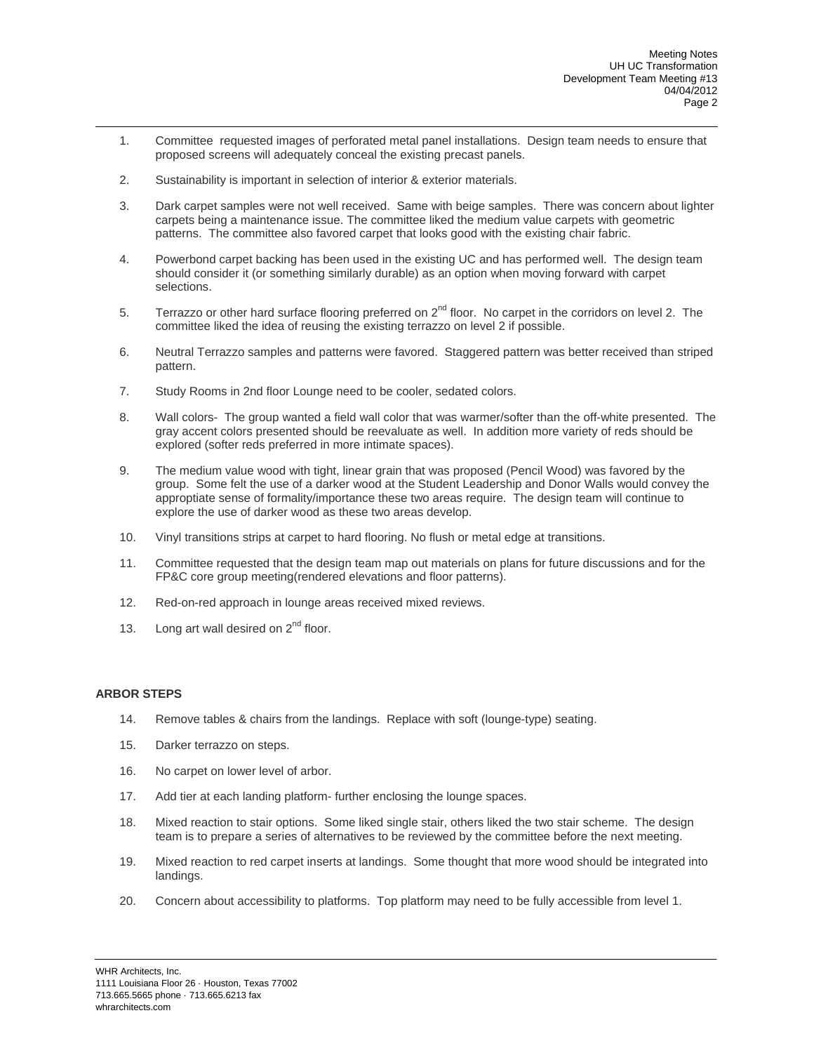- 1. Committee requested images of perforated metal panel installations. Design team needs to ensure that proposed screens will adequately conceal the existing precast panels.
- 2. Sustainability is important in selection of interior & exterior materials.
- 3. Dark carpet samples were not well received. Same with beige samples. There was concern about lighter carpets being a maintenance issue. The committee liked the medium value carpets with geometric patterns. The committee also favored carpet that looks good with the existing chair fabric.
- 4. Powerbond carpet backing has been used in the existing UC and has performed well. The design team should consider it (or something similarly durable) as an option when moving forward with carpet selections.
- 5. Terrazzo or other hard surface flooring preferred on 2<sup>nd</sup> floor. No carpet in the corridors on level 2. The committee liked the idea of reusing the existing terrazzo on level 2 if possible.
- 6. Neutral Terrazzo samples and patterns were favored. Staggered pattern was better received than striped pattern.
- 7. Study Rooms in 2nd floor Lounge need to be cooler, sedated colors.
- 8. Wall colors- The group wanted a field wall color that was warmer/softer than the off-white presented. The gray accent colors presented should be reevaluate as well. In addition more variety of reds should be explored (softer reds preferred in more intimate spaces).
- 9. The medium value wood with tight, linear grain that was proposed (Pencil Wood) was favored by the group. Some felt the use of a darker wood at the Student Leadership and Donor Walls would convey the approptiate sense of formality/importance these two areas require. The design team will continue to explore the use of darker wood as these two areas develop.
- 10. Vinyl transitions strips at carpet to hard flooring. No flush or metal edge at transitions.
- 11. Committee requested that the design team map out materials on plans for future discussions and for the FP&C core group meeting(rendered elevations and floor patterns).
- 12. Red-on-red approach in lounge areas received mixed reviews.
- 13. Long art wall desired on  $2^{nd}$  floor.

#### **ARBOR STEPS**

- 14. Remove tables & chairs from the landings. Replace with soft (lounge-type) seating.
- 15. Darker terrazzo on steps.
- 16. No carpet on lower level of arbor.
- 17. Add tier at each landing platform- further enclosing the lounge spaces.
- 18. Mixed reaction to stair options. Some liked single stair, others liked the two stair scheme. The design team is to prepare a series of alternatives to be reviewed by the committee before the next meeting.
- 19. Mixed reaction to red carpet inserts at landings. Some thought that more wood should be integrated into landings.
- 20. Concern about accessibility to platforms. Top platform may need to be fully accessible from level 1.